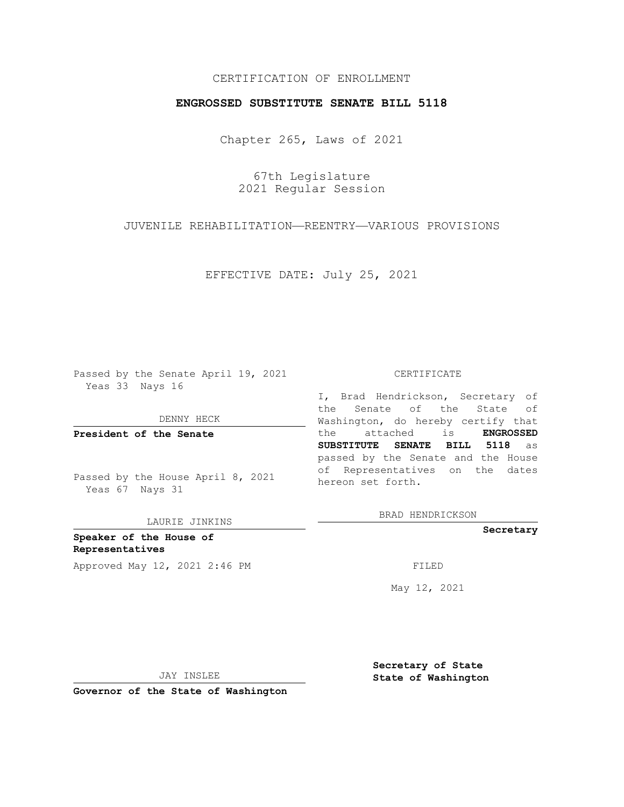## CERTIFICATION OF ENROLLMENT

## **ENGROSSED SUBSTITUTE SENATE BILL 5118**

Chapter 265, Laws of 2021

67th Legislature 2021 Regular Session

JUVENILE REHABILITATION—REENTRY—VARIOUS PROVISIONS

EFFECTIVE DATE: July 25, 2021

Passed by the Senate April 19, 2021 Yeas 33 Nays 16

DENNY HECK

**President of the Senate**

Passed by the House April 8, 2021 Yeas 67 Nays 31

LAURIE JINKINS

**Speaker of the House of Representatives** Approved May 12, 2021 2:46 PM FILED

#### CERTIFICATE

I, Brad Hendrickson, Secretary of the Senate of the State of Washington, do hereby certify that the attached is **ENGROSSED SUBSTITUTE SENATE BILL 5118** as passed by the Senate and the House of Representatives on the dates hereon set forth.

BRAD HENDRICKSON

**Secretary**

May 12, 2021

JAY INSLEE

**Secretary of State State of Washington**

**Governor of the State of Washington**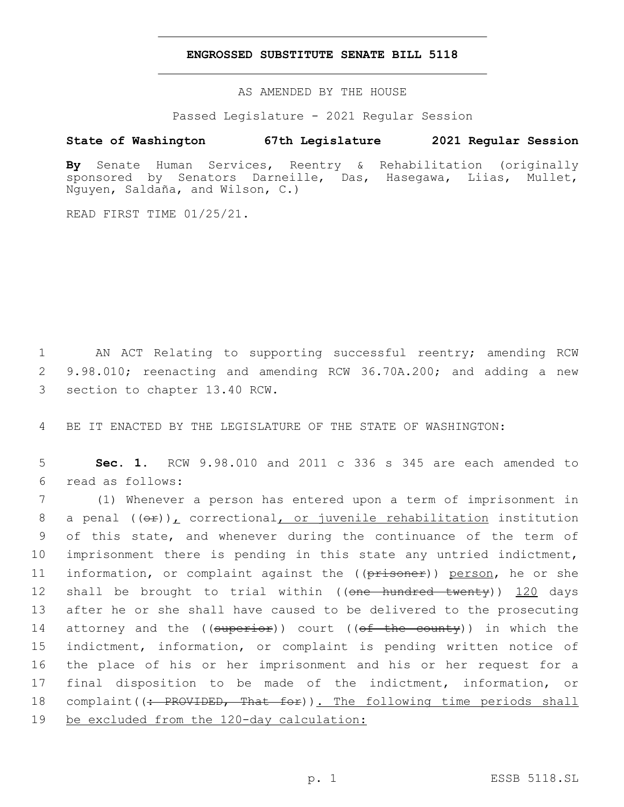### **ENGROSSED SUBSTITUTE SENATE BILL 5118**

AS AMENDED BY THE HOUSE

Passed Legislature - 2021 Regular Session

# **State of Washington 67th Legislature 2021 Regular Session**

**By** Senate Human Services, Reentry & Rehabilitation (originally sponsored by Senators Darneille, Das, Hasegawa, Liias, Mullet, Nguyen, Saldaña, and Wilson, C.)

READ FIRST TIME 01/25/21.

1 AN ACT Relating to supporting successful reentry; amending RCW 2 9.98.010; reenacting and amending RCW 36.70A.200; and adding a new 3 section to chapter 13.40 RCW.

4 BE IT ENACTED BY THE LEGISLATURE OF THE STATE OF WASHINGTON:

5 **Sec. 1.** RCW 9.98.010 and 2011 c 336 s 345 are each amended to read as follows:6

 (1) Whenever a person has entered upon a term of imprisonment in 8 a penal  $((\theta \cdot \hat{r}))$ , correctional, or juvenile rehabilitation institution of this state, and whenever during the continuance of the term of imprisonment there is pending in this state any untried indictment, 11 information, or complaint against the ((prisoner)) person, he or she 12 shall be brought to trial within ((one hundred twenty)) 120 days after he or she shall have caused to be delivered to the prosecuting 14 attorney and the  $((\text{superior}))$  court  $((\text{off-the-county}))$  in which the indictment, information, or complaint is pending written notice of the place of his or her imprisonment and his or her request for a final disposition to be made of the indictment, information, or 18 complaint ((: PROVIDED, That for)). The following time periods shall be excluded from the 120-day calculation: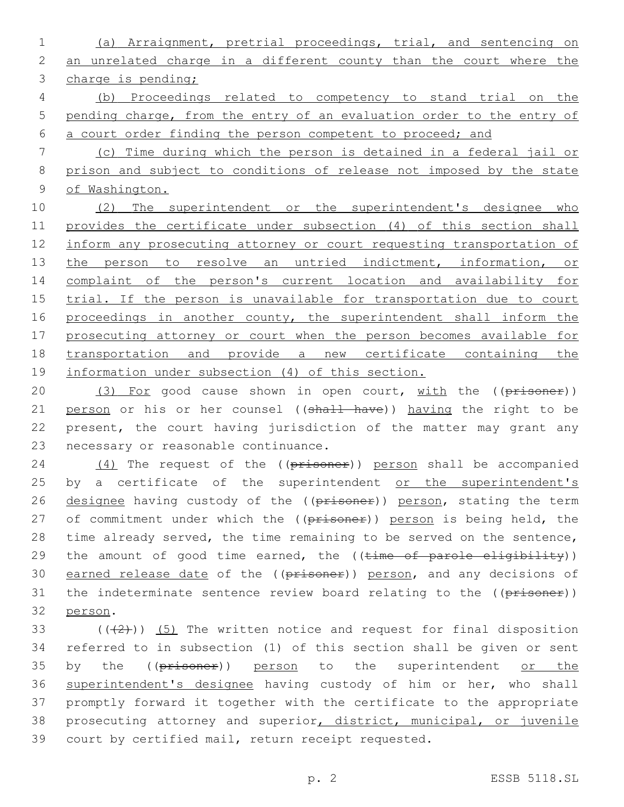(a) Arraignment, pretrial proceedings, trial, and sentencing on an unrelated charge in a different county than the court where the charge is pending; (b) Proceedings related to competency to stand trial on the pending charge, from the entry of an evaluation order to the entry of a court order finding the person competent to proceed; and (c) Time during which the person is detained in a federal jail or prison and subject to conditions of release not imposed by the state of Washington. 10 (2) The superintendent or the superintendent's designee who provides the certificate under subsection (4) of this section shall 12 inform any prosecuting attorney or court requesting transportation of 13 the person to resolve an untried indictment, information, or complaint of the person's current location and availability for 15 trial. If the person is unavailable for transportation due to court 16 proceedings in another county, the superintendent shall inform the

17 prosecuting attorney or court when the person becomes available for 18 transportation and provide a new certificate containing the 19 information under subsection (4) of this section.

20 (3) For good cause shown in open court, with the ((prisoner)) 21 person or his or her counsel ((shall have)) having the right to be 22 present, the court having jurisdiction of the matter may grant any 23 necessary or reasonable continuance.

24 (4) The request of the ((prisoner)) person shall be accompanied 25 by a certificate of the superintendent or the superintendent's 26 designee having custody of the ((prisoner)) person, stating the term 27 of commitment under which the ((prisoner)) person is being held, the 28 time already served, the time remaining to be served on the sentence, 29 the amount of good time earned, the ((time of parole eligibility)) 30 earned release date of the ((prisoner)) person, and any decisions of 31 the indeterminate sentence review board relating to the ((prisoner)) 32 person.

 $((+2+))$  (5) The written notice and request for final disposition referred to in subsection (1) of this section shall be given or sent 35 by the ((prisoner)) person to the superintendent or the superintendent's designee having custody of him or her, who shall promptly forward it together with the certificate to the appropriate 38 prosecuting attorney and superior, district, municipal, or juvenile court by certified mail, return receipt requested.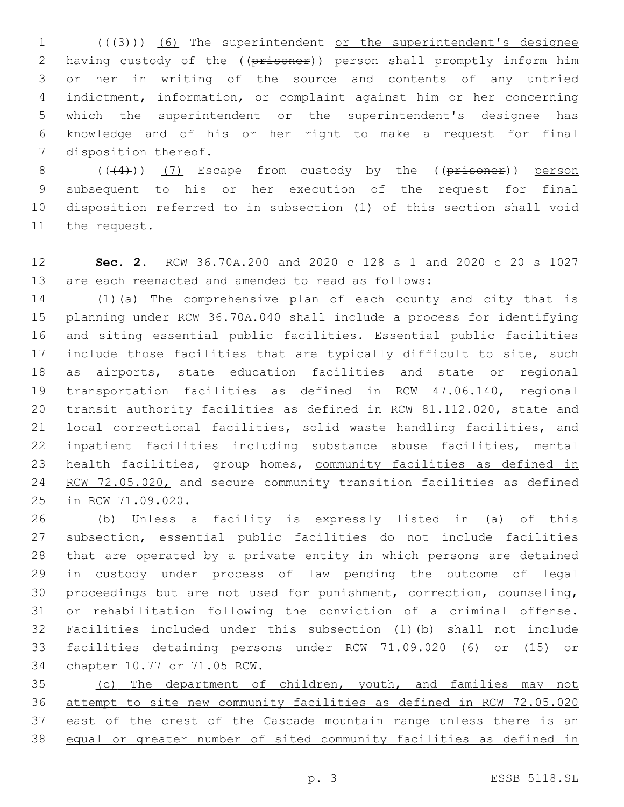1 (((43))) (6) The superintendent or the superintendent's designee 2 having custody of the ((prisoner)) person shall promptly inform him or her in writing of the source and contents of any untried indictment, information, or complaint against him or her concerning 5 which the superintendent or the superintendent's designee has knowledge and of his or her right to make a request for final 7 disposition thereof.

 $((+4))$   $(7)$  Escape from custody by the (( $p$ risoner)) person subsequent to his or her execution of the request for final disposition referred to in subsection (1) of this section shall void 11 the request.

 **Sec. 2.** RCW 36.70A.200 and 2020 c 128 s 1 and 2020 c 20 s 1027 are each reenacted and amended to read as follows:

 (1)(a) The comprehensive plan of each county and city that is planning under RCW 36.70A.040 shall include a process for identifying and siting essential public facilities. Essential public facilities 17 include those facilities that are typically difficult to site, such as airports, state education facilities and state or regional transportation facilities as defined in RCW 47.06.140, regional transit authority facilities as defined in RCW 81.112.020, state and local correctional facilities, solid waste handling facilities, and inpatient facilities including substance abuse facilities, mental health facilities, group homes, community facilities as defined in 24 RCW 72.05.020, and secure community transition facilities as defined 25 in RCW 71.09.020.

 (b) Unless a facility is expressly listed in (a) of this subsection, essential public facilities do not include facilities that are operated by a private entity in which persons are detained in custody under process of law pending the outcome of legal proceedings but are not used for punishment, correction, counseling, or rehabilitation following the conviction of a criminal offense. Facilities included under this subsection (1)(b) shall not include facilities detaining persons under RCW 71.09.020 (6) or (15) or 34 chapter 10.77 or 71.05 RCW.

 (c) The department of children, youth, and families may not attempt to site new community facilities as defined in RCW 72.05.020 37 east of the crest of the Cascade mountain range unless there is an equal or greater number of sited community facilities as defined in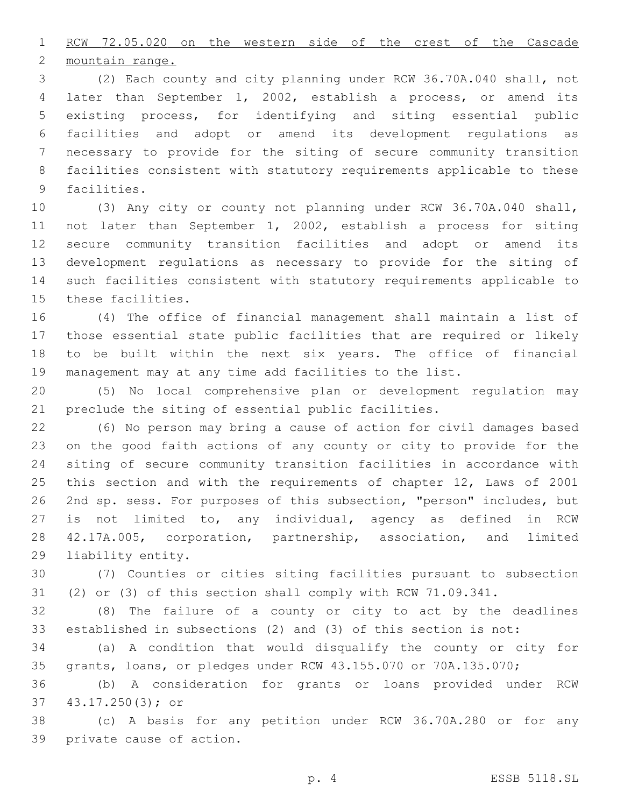RCW 72.05.020 on the western side of the crest of the Cascade

2 mountain range.

 (2) Each county and city planning under RCW 36.70A.040 shall, not later than September 1, 2002, establish a process, or amend its existing process, for identifying and siting essential public facilities and adopt or amend its development regulations as necessary to provide for the siting of secure community transition facilities consistent with statutory requirements applicable to these 9 facilities.

 (3) Any city or county not planning under RCW 36.70A.040 shall, not later than September 1, 2002, establish a process for siting secure community transition facilities and adopt or amend its development regulations as necessary to provide for the siting of such facilities consistent with statutory requirements applicable to 15 these facilities.

 (4) The office of financial management shall maintain a list of those essential state public facilities that are required or likely to be built within the next six years. The office of financial management may at any time add facilities to the list.

 (5) No local comprehensive plan or development regulation may preclude the siting of essential public facilities.

 (6) No person may bring a cause of action for civil damages based on the good faith actions of any county or city to provide for the siting of secure community transition facilities in accordance with this section and with the requirements of chapter 12, Laws of 2001 2nd sp. sess. For purposes of this subsection, "person" includes, but is not limited to, any individual, agency as defined in RCW 42.17A.005, corporation, partnership, association, and limited 29 liability entity.

 (7) Counties or cities siting facilities pursuant to subsection (2) or (3) of this section shall comply with RCW 71.09.341.

 (8) The failure of a county or city to act by the deadlines established in subsections (2) and (3) of this section is not:

 (a) A condition that would disqualify the county or city for grants, loans, or pledges under RCW 43.155.070 or 70A.135.070;

 (b) A consideration for grants or loans provided under RCW 43.17.250(3); or37

 (c) A basis for any petition under RCW 36.70A.280 or for any 39 private cause of action.